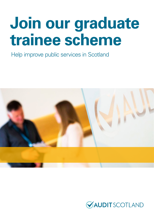# **Join our graduate trainee scheme**

Help improve public services in Scotland



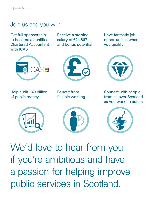### Join us and you will:

Get full sponsorship to become a qualified Chartered Accountant with ICAS

Receive a starting salary of £24,867 and bonus potential





Help audit £40 billion of public money

Benefit from flexible working

Have fantastic job opportunities when you qualify



Connect with people from all over Scotland as you work on audits







We'd love to hear from you if you're ambitious and have a passion for helping improve public services in Scotland.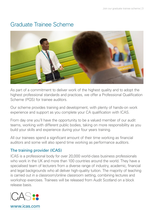## Graduate Trainee Scheme



As part of a commitment to deliver work of the highest quality and to adopt the highest professional standards and practices, we offer a Professional Qualification Scheme (PQS) for trainee auditors.

Our scheme provides training and development, with plenty of hands-on work experience and support as you complete your CA qualification with ICAS.

From day one you'll have the opportunity to be a valued member of our audit teams, working with different public bodies, taking on more responsibility as you build your skills and experience during your four years training.

All our trainees spend a significant amount of their time working as financial auditors and some will also spend time working as performance auditors.

#### The training provider (ICAS)

ICAS is a professional body for over 20,000 world-class business professionals who work in the UK and more than 100 countries around the world. They have a specialised team of lecturers from a diverse range of industry, academic, financial and legal backgrounds who all deliver high-quality tuition. The majority of teaching is carried out in a classroom/online classroom setting, combining lectures and workshop exercises. Trainees will be released from Audit Scotland on a block release basis.



www.icas.com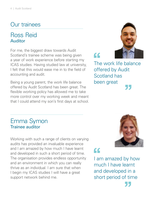## Our trainees

#### Ross Reid Auditor

For me, the biggest draw towards Audit Scotland's trainee scheme was being given a year of work experience before starting my ICAS studies. Having studied law at university, I felt that this would ease me in to the field of accounting and audit.

Being a young parent, the work life balance offered by Audit Scotland has been great. The flexible working policy has allowed me to take more control over my working week and meant that I could attend my son's first days at school.



 $\epsilon$ 

The work life balance offered by Audit Scotland has been great 75

#### Emma Symon Trainee auditor

Working with such a range of clients on varying audits has provided an invaluable experience and I am amazed by how much I have learnt and developed in such a short period of time. The organisation provides endless opportunity and an environment in which you can really thrive as an individual. I am sure that when I begin my ICAS studies I will have a great support network behind me.



77

 $\epsilon$ 

I am amazed by how much I have learnt and developed in a short period of time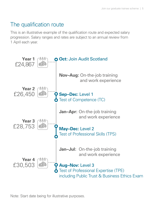## The qualification route

This is an illustrative example of the qualification route and expected salary progression. Salary ranges and rates are subject to an annual review from 1 April each year.



Note: Start date being for illustrative purposes.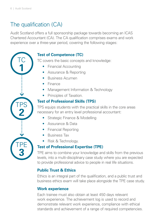TC

**1**

TPS

**2**

## The qualification (CA)

Audit Scotland offers a full sponsorship package towards becoming an ICAS Chartered Accountant (CA). The CA qualification comprises exams and work experience over a three-year period, covering the following stages:

#### **Test of Competence (TC)**

TC covers the basic concepts and knowledge:

- Financial Accounting
- Assurance & Reporting
- Business Acumen
- Finance
- Management Information & Technology
- Principles of Taxation.

#### **Test of Professional Skills (TPS)**

TPS equips students with the practical skills in the core areas necessary for an entry level professional accountant:

- Strategic Finance & Modelling
- Assurance & Data
- Financial Reporting
- Business Tax
- Risk & Technology.

#### **Test of Professional Expertise (TPE)**

TPE aims to combine your knowledge and skills from the previous levels, into a multi-disciplinary case study where you are expected to provide professional advice to people in real life situations.

#### **Public Trust & Ethics**

Ethics is an integral part of the qualification, and a public trust and business ethics exam will take place alongside the TPE case study.

#### **Work experience**

Each trainee must also obtain at least 450 days relevant work experience. The achievement log is used to record and demonstrate relevant work experience, compliance with ethical standards and achievement of a range of required competencies.

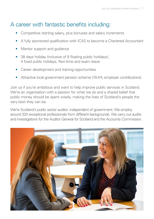## A career with fantastic benefits including:

- Competitive starting salary, plus bonuses and salary increments
- A fully sponsored qualification with ICAS to become a Chartered Accountant
- Mentor support and quidance
- 38 days holiday (inclusive of 8 floating public holidays), 4 fixed public holidays, flexi-time and exam leave
- Career development and training opportunities
- Attractive local government pension scheme (19.4% employer contributions).

Join us if you're ambitious and want to help improve public services in Scotland. We're an organisation with a passion for what we do and a shared belief that public money should be spent wisely, making the lives of Scotland's people the very best they can be.

We're Scotland's public sector auditor, independent of government. We employ around 320 exceptional professionals from different backgrounds. We carry out audits and investigations for the Auditor General for Scotland and the Accounts Commission.